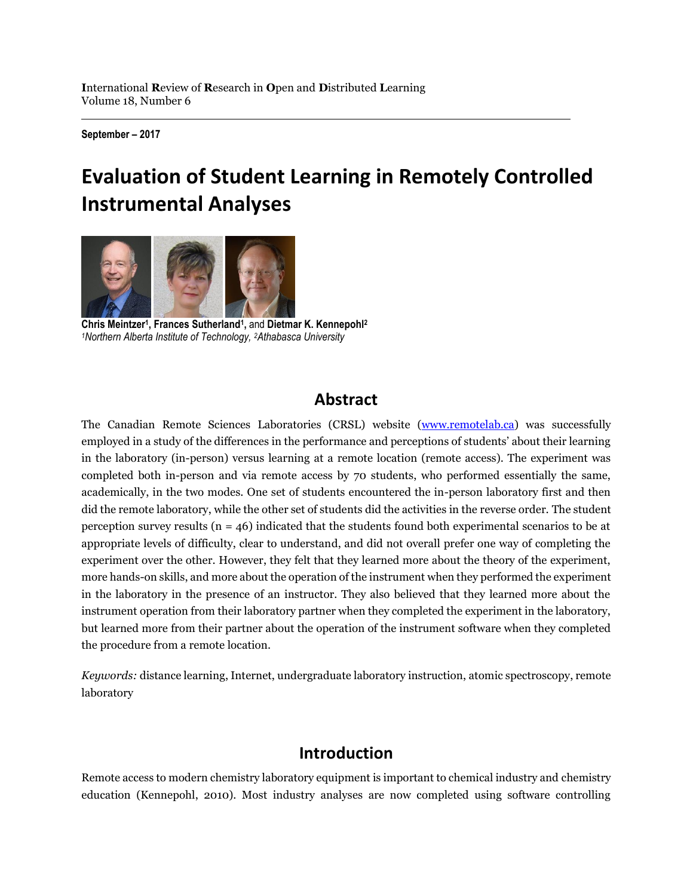**September – 2017**

# **Evaluation of Student Learning in Remotely Controlled Instrumental Analyses**



**Chris Meintzer<sup>1</sup> , Frances Sutherland<sup>1</sup> ,** and **Dietmar K. Kennepohl<sup>2</sup>** *<sup>1</sup>Northern Alberta Institute of Technology, 2Athabasca University*

# **Abstract**

The Canadian Remote Sciences Laboratories (CRSL) website [\(www.remotelab.ca\)](http://www.remotelab.ca/) was successfully employed in a study of the differences in the performance and perceptions of students' about their learning in the laboratory (in-person) versus learning at a remote location (remote access). The experiment was completed both in-person and via remote access by 70 students, who performed essentially the same, academically, in the two modes. One set of students encountered the in-person laboratory first and then did the remote laboratory, while the other set of students did the activities in the reverse order. The student perception survey results ( $n = 46$ ) indicated that the students found both experimental scenarios to be at appropriate levels of difficulty, clear to understand, and did not overall prefer one way of completing the experiment over the other. However, they felt that they learned more about the theory of the experiment, more hands-on skills, and more about the operation of the instrument when they performed the experiment in the laboratory in the presence of an instructor. They also believed that they learned more about the instrument operation from their laboratory partner when they completed the experiment in the laboratory, but learned more from their partner about the operation of the instrument software when they completed the procedure from a remote location.

*Keywords:* distance learning, Internet, undergraduate laboratory instruction, atomic spectroscopy, remote laboratory

# **Introduction**

Remote access to modern chemistry laboratory equipment is important to chemical industry and chemistry education (Kennepohl, 2010). Most industry analyses are now completed using software controlling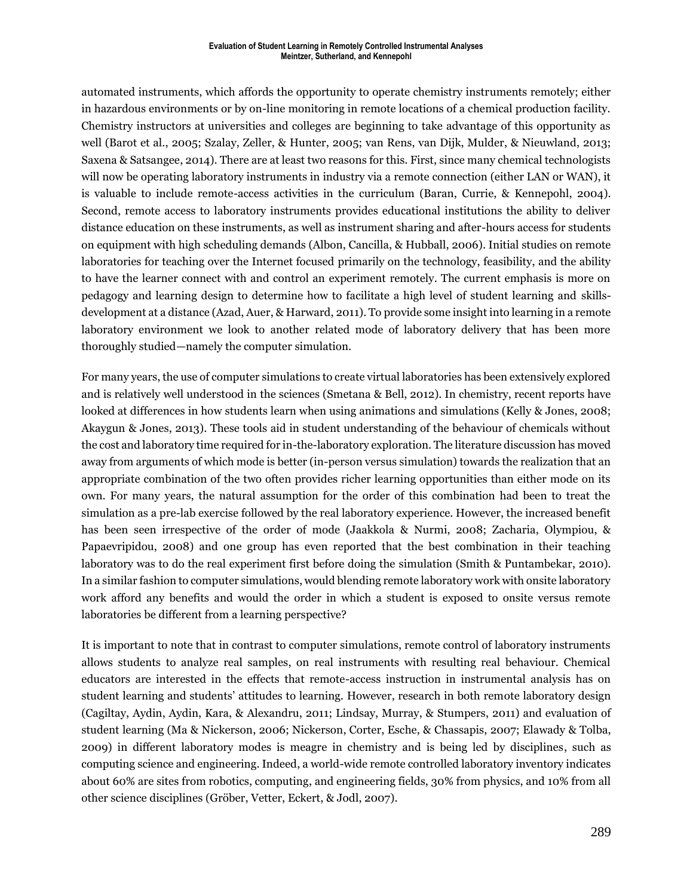#### **Evaluation of Student Learning in Remotely Controlled Instrumental Analyses Meintzer, Sutherland, and Kennepohl**

automated instruments, which affords the opportunity to operate chemistry instruments remotely; either in hazardous environments or by on-line monitoring in remote locations of a chemical production facility. Chemistry instructors at universities and colleges are beginning to take advantage of this opportunity as well (Barot et al., 2005; Szalay, Zeller, & Hunter, 2005; van Rens, van Dijk, Mulder, & Nieuwland, 2013; Saxena & Satsangee, 2014). There are at least two reasons for this. First, since many chemical technologists will now be operating laboratory instruments in industry via a remote connection (either LAN or WAN), it is valuable to include remote-access activities in the curriculum (Baran, Currie, & Kennepohl, 2004). Second, remote access to laboratory instruments provides educational institutions the ability to deliver distance education on these instruments, as well as instrument sharing and after-hours access for students on equipment with high scheduling demands (Albon, Cancilla, & Hubball, 2006). Initial studies on remote laboratories for teaching over the Internet focused primarily on the technology, feasibility, and the ability to have the learner connect with and control an experiment remotely. The current emphasis is more on pedagogy and learning design to determine how to facilitate a high level of student learning and skillsdevelopment at a distance (Azad, Auer, & Harward, 2011). To provide some insight into learning in a remote laboratory environment we look to another related mode of laboratory delivery that has been more thoroughly studied—namely the computer simulation.

For many years, the use of computer simulations to create virtual laboratories has been extensively explored and is relatively well understood in the sciences (Smetana & Bell, 2012). In chemistry, recent reports have looked at differences in how students learn when using animations and simulations (Kelly & Jones, 2008; Akaygun & Jones, 2013). These tools aid in student understanding of the behaviour of chemicals without the cost and laboratory time required for in-the-laboratory exploration. The literature discussion has moved away from arguments of which mode is better (in-person versus simulation) towards the realization that an appropriate combination of the two often provides richer learning opportunities than either mode on its own. For many years, the natural assumption for the order of this combination had been to treat the simulation as a pre-lab exercise followed by the real laboratory experience. However, the increased benefit has been seen irrespective of the order of mode (Jaakkola & Nurmi, 2008; Zacharia, Olympiou, & Papaevripidou, 2008) and one group has even reported that the best combination in their teaching laboratory was to do the real experiment first before doing the simulation (Smith & Puntambekar, 2010). In a similar fashion to computer simulations, would blending remote laboratory work with onsite laboratory work afford any benefits and would the order in which a student is exposed to onsite versus remote laboratories be different from a learning perspective?

It is important to note that in contrast to computer simulations, remote control of laboratory instruments allows students to analyze real samples, on real instruments with resulting real behaviour. Chemical educators are interested in the effects that remote-access instruction in instrumental analysis has on student learning and students' attitudes to learning. However, research in both remote laboratory design (Cagiltay, Aydin, Aydin, Kara, & Alexandru, 2011; Lindsay, Murray, & Stumpers, 2011) and evaluation of student learning (Ma & Nickerson, 2006; Nickerson, Corter, Esche, & Chassapis, 2007; Elawady & Tolba, 2009) in different laboratory modes is meagre in chemistry and is being led by disciplines, such as computing science and engineering. Indeed, a world-wide remote controlled laboratory inventory indicates about 60% are sites from robotics, computing, and engineering fields, 30% from physics, and 10% from all other science disciplines (Gröber, Vetter, Eckert, & Jodl, 2007).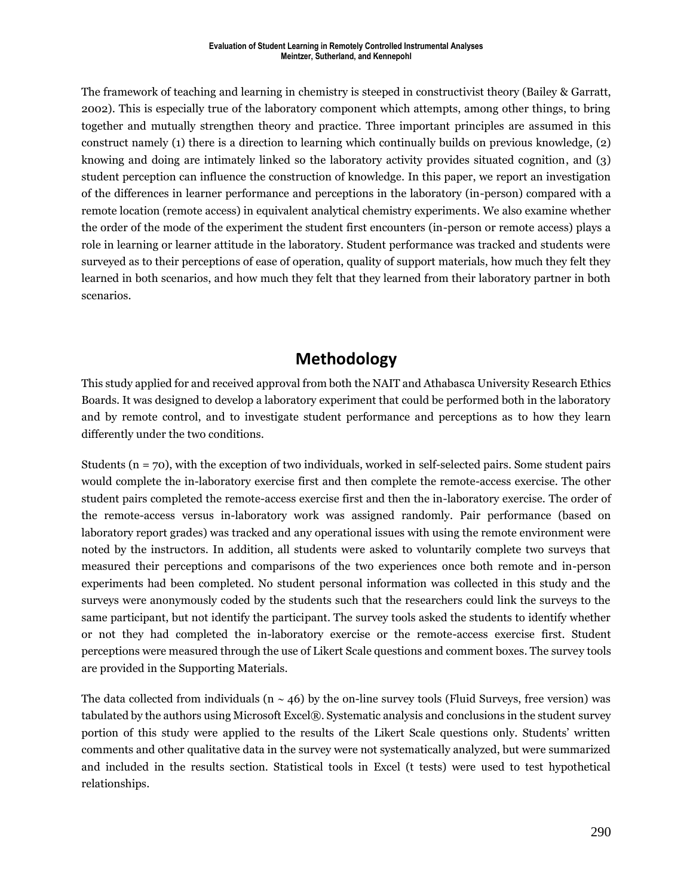The framework of teaching and learning in chemistry is steeped in constructivist theory (Bailey & Garratt, 2002). This is especially true of the laboratory component which attempts, among other things, to bring together and mutually strengthen theory and practice. Three important principles are assumed in this construct namely (1) there is a direction to learning which continually builds on previous knowledge, (2) knowing and doing are intimately linked so the laboratory activity provides situated cognition, and (3) student perception can influence the construction of knowledge. In this paper, we report an investigation of the differences in learner performance and perceptions in the laboratory (in-person) compared with a remote location (remote access) in equivalent analytical chemistry experiments. We also examine whether the order of the mode of the experiment the student first encounters (in-person or remote access) plays a role in learning or learner attitude in the laboratory. Student performance was tracked and students were surveyed as to their perceptions of ease of operation, quality of support materials, how much they felt they learned in both scenarios, and how much they felt that they learned from their laboratory partner in both scenarios.

# **Methodology**

This study applied for and received approval from both the NAIT and Athabasca University Research Ethics Boards. It was designed to develop a laboratory experiment that could be performed both in the laboratory and by remote control, and to investigate student performance and perceptions as to how they learn differently under the two conditions.

Students (n = 70), with the exception of two individuals, worked in self-selected pairs. Some student pairs would complete the in-laboratory exercise first and then complete the remote-access exercise. The other student pairs completed the remote-access exercise first and then the in-laboratory exercise. The order of the remote-access versus in-laboratory work was assigned randomly. Pair performance (based on laboratory report grades) was tracked and any operational issues with using the remote environment were noted by the instructors. In addition, all students were asked to voluntarily complete two surveys that measured their perceptions and comparisons of the two experiences once both remote and in-person experiments had been completed. No student personal information was collected in this study and the surveys were anonymously coded by the students such that the researchers could link the surveys to the same participant, but not identify the participant. The survey tools asked the students to identify whether or not they had completed the in-laboratory exercise or the remote-access exercise first. Student perceptions were measured through the use of Likert Scale questions and comment boxes. The survey tools are provided in the Supporting Materials.

The data collected from individuals ( $n \sim 46$ ) by the on-line survey tools (Fluid Surveys, free version) was tabulated by the authors using Microsoft Excel®. Systematic analysis and conclusions in the student survey portion of this study were applied to the results of the Likert Scale questions only. Students' written comments and other qualitative data in the survey were not systematically analyzed, but were summarized and included in the results section. Statistical tools in Excel (t tests) were used to test hypothetical relationships.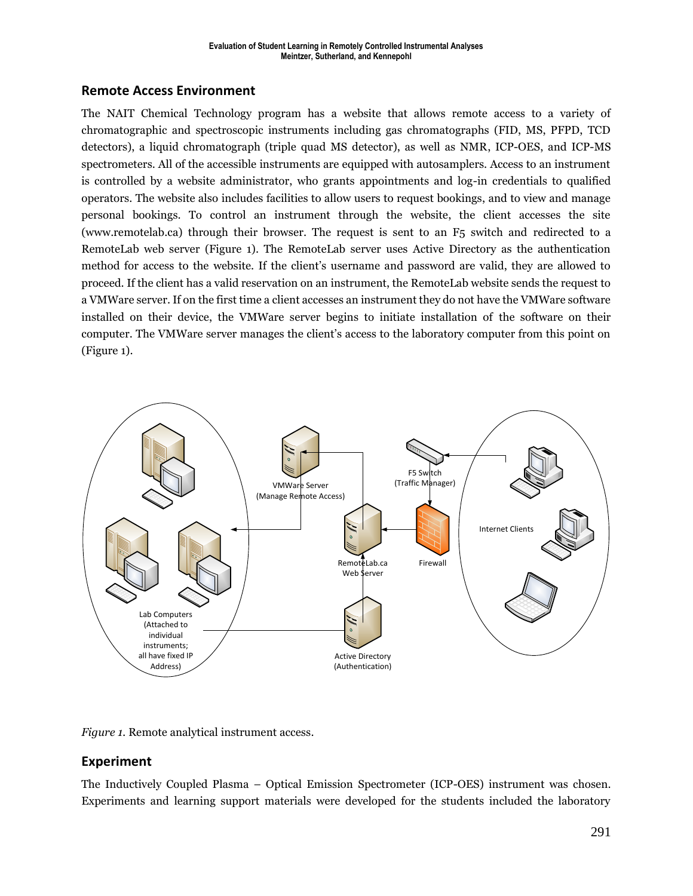## **Remote Access Environment**

The NAIT Chemical Technology program has a website that allows remote access to a variety of chromatographic and spectroscopic instruments including gas chromatographs (FID, MS, PFPD, TCD detectors), a liquid chromatograph (triple quad MS detector), as well as NMR, ICP-OES, and ICP-MS spectrometers. All of the accessible instruments are equipped with autosamplers. Access to an instrument is controlled by a website administrator, who grants appointments and log-in credentials to qualified operators. The website also includes facilities to allow users to request bookings, and to view and manage personal bookings. To control an instrument through the website, the client accesses the site (www.remotelab.ca) through their browser. The request is sent to an F5 switch and redirected to a RemoteLab web server (Figure 1). The RemoteLab server uses Active Directory as the authentication method for access to the website. If the client's username and password are valid, they are allowed to proceed. If the client has a valid reservation on an instrument, the RemoteLab website sends the request to a VMWare server. If on the first time a client accesses an instrument they do not have the VMWare software installed on their device, the VMWare server begins to initiate installation of the software on their computer. The VMWare server manages the client's access to the laboratory computer from this point on (Figure 1).



*Figure 1.* Remote analytical instrument access.

## **Experiment**

The Inductively Coupled Plasma – Optical Emission Spectrometer (ICP-OES) instrument was chosen. Experiments and learning support materials were developed for the students included the laboratory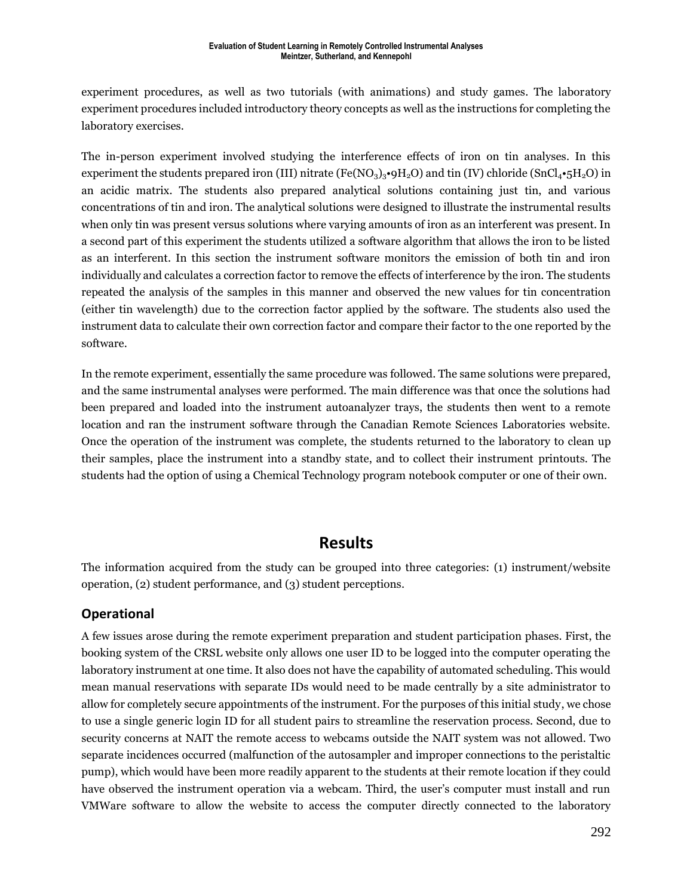experiment procedures, as well as two tutorials (with animations) and study games. The laboratory experiment procedures included introductory theory concepts as well as the instructions for completing the laboratory exercises.

The in-person experiment involved studying the interference effects of iron on tin analyses. In this experiment the students prepared iron (III) nitrate (Fe(NO<sub>3</sub>)<sub>3</sub>•9H<sub>2</sub>O) and tin (IV) chloride (SnCl<sub>4</sub>•5H<sub>2</sub>O) in an acidic matrix. The students also prepared analytical solutions containing just tin, and various concentrations of tin and iron. The analytical solutions were designed to illustrate the instrumental results when only tin was present versus solutions where varying amounts of iron as an interferent was present. In a second part of this experiment the students utilized a software algorithm that allows the iron to be listed as an interferent. In this section the instrument software monitors the emission of both tin and iron individually and calculates a correction factor to remove the effects of interference by the iron. The students repeated the analysis of the samples in this manner and observed the new values for tin concentration (either tin wavelength) due to the correction factor applied by the software. The students also used the instrument data to calculate their own correction factor and compare their factor to the one reported by the software.

In the remote experiment, essentially the same procedure was followed. The same solutions were prepared, and the same instrumental analyses were performed. The main difference was that once the solutions had been prepared and loaded into the instrument autoanalyzer trays, the students then went to a remote location and ran the instrument software through the Canadian Remote Sciences Laboratories website. Once the operation of the instrument was complete, the students returned to the laboratory to clean up their samples, place the instrument into a standby state, and to collect their instrument printouts. The students had the option of using a Chemical Technology program notebook computer or one of their own.

## **Results**

The information acquired from the study can be grouped into three categories: (1) instrument/website operation, (2) student performance, and (3) student perceptions.

## **Operational**

A few issues arose during the remote experiment preparation and student participation phases. First, the booking system of the CRSL website only allows one user ID to be logged into the computer operating the laboratory instrument at one time. It also does not have the capability of automated scheduling. This would mean manual reservations with separate IDs would need to be made centrally by a site administrator to allow for completely secure appointments of the instrument. For the purposes of this initial study, we chose to use a single generic login ID for all student pairs to streamline the reservation process. Second, due to security concerns at NAIT the remote access to webcams outside the NAIT system was not allowed. Two separate incidences occurred (malfunction of the autosampler and improper connections to the peristaltic pump), which would have been more readily apparent to the students at their remote location if they could have observed the instrument operation via a webcam. Third, the user's computer must install and run VMWare software to allow the website to access the computer directly connected to the laboratory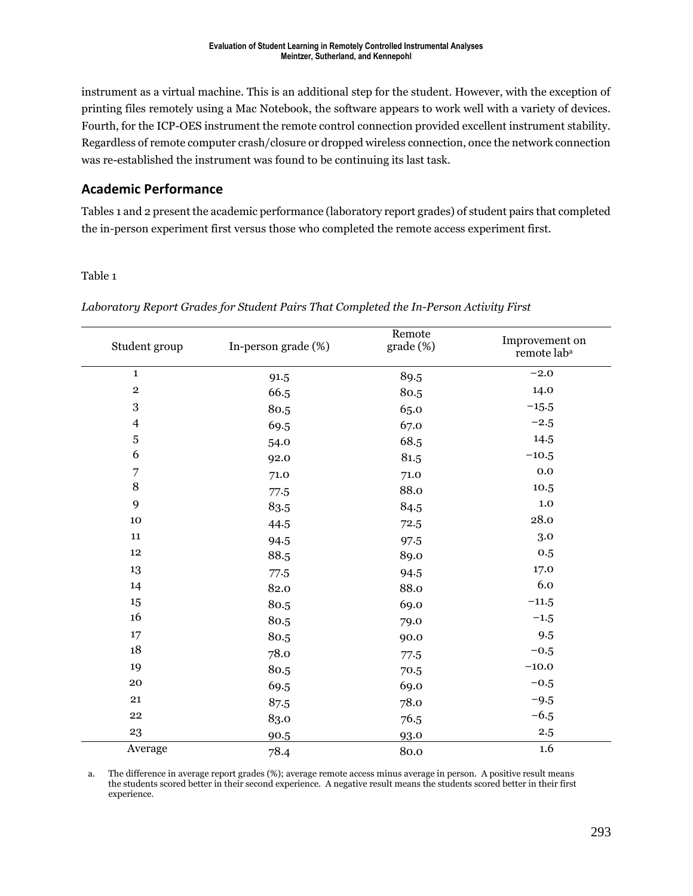instrument as a virtual machine. This is an additional step for the student. However, with the exception of printing files remotely using a Mac Notebook, the software appears to work well with a variety of devices. Fourth, for the ICP-OES instrument the remote control connection provided excellent instrument stability. Regardless of remote computer crash/closure or dropped wireless connection, once the network connection was re-established the instrument was found to be continuing its last task.

## **Academic Performance**

Tables 1 and 2 present the academic performance (laboratory report grades) of student pairs that completed the in-person experiment first versus those who completed the remote access experiment first.

### Table 1

| Student group  | In-person grade (%) | Remote<br>$grade$ (%) | Improvement on<br>remote lab <sup>a</sup> |  |
|----------------|---------------------|-----------------------|-------------------------------------------|--|
| $\mathbf{1}$   | 91.5                | 89.5                  | $-2.0$                                    |  |
| $\overline{2}$ | 66.5                | 80.5                  | 14.0                                      |  |
| $\,3$          | 80.5                | 65.0                  | $-15.5$                                   |  |
| $\overline{4}$ | 69.5                | 67.0                  | $-2.5$                                    |  |
| 5              | 54.0                | 68.5                  | 14.5                                      |  |
| 6              | 92.0                | 81.5                  | $-10.5$                                   |  |
| 7              | 71.0                | 71.0                  | 0.0                                       |  |
| 8              | 77.5                | 88.0                  | 10.5                                      |  |
| 9              | 83.5                | 84.5                  | 1.0                                       |  |
| 10             | 44.5                | 72.5                  | 28.0                                      |  |
| 11             | 94.5                | 97.5                  | 3.0                                       |  |
| 12             | 88.5                | 89.0                  | 0.5                                       |  |
| 13             | 77.5                | 94.5                  | 17.0                                      |  |
| 14             | 82.0                | 88.0                  | 6.0                                       |  |

 $15$  80.5 69.0  $-11.5$  $16$  80.5 79.0  $-1.5$  $17$  80.5 90.0 9.5  $18$   $78.0$   $77.5$   $-0.5$ 19  $80.5$   $70.5$   $-10.0$  $20$  69.5 69.0  $-0.5$ 21 87.5 78.0  $-9.5$ 22 83.0  $76.5$  −6.5  $90.5$  93.0  $2.5$ Average  $78.4$  80.0  $1.6$ 

*Laboratory Report Grades for Student Pairs That Completed the In-Person Activity First*

a. The difference in average report grades (%); average remote access minus average in person. A positive result means the students scored better in their second experience. A negative result means the students scored better in their first experience.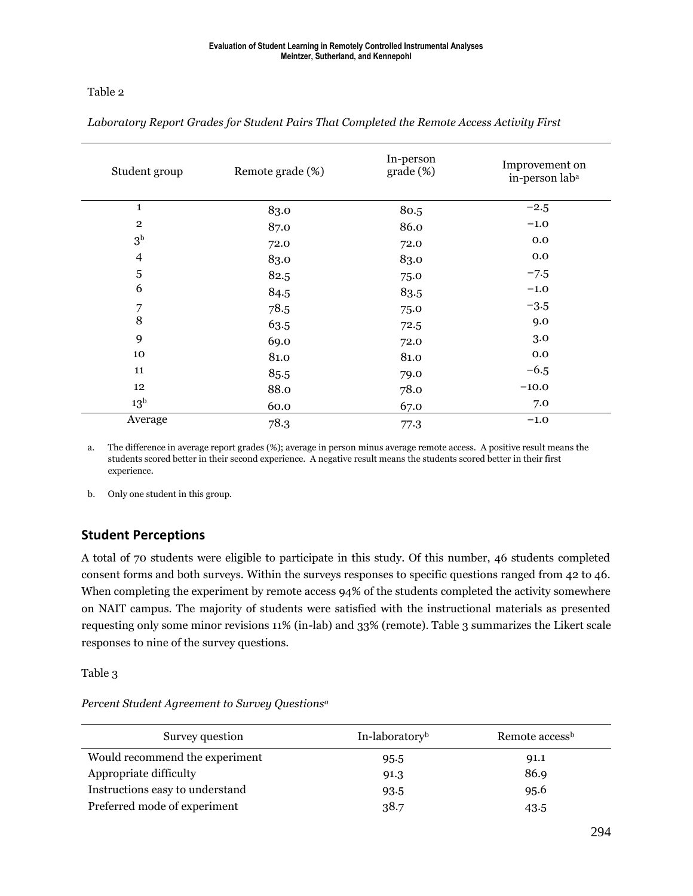### Table 2

| Student group           | Remote grade (%) | In-person<br>grade (%) | Improvement on<br>in-person lab <sup>a</sup> |  |
|-------------------------|------------------|------------------------|----------------------------------------------|--|
| $\mathbf{1}$            | 83.0             | 80.5                   | $-2.5$                                       |  |
| $\mathbf{2}$            | 87.0             | 86.0                   | $-1.0$                                       |  |
| 3 <sup>b</sup>          | 72.0             | 72.0                   | 0.0                                          |  |
| $\overline{\mathbf{4}}$ | 83.0             | 83.0                   | 0.0                                          |  |
| $\sqrt{5}$              | 82.5             | 75.0                   | $-7.5$                                       |  |
| 6                       | 84.5             | 83.5                   | $-1.0$                                       |  |
| $\overline{7}$          | 78.5             | 75.0                   | $-3.5$                                       |  |
| 8                       | 63.5             | 72.5                   | 9.0                                          |  |
| 9                       | 69.0             | 72.0                   | 3.0                                          |  |
| 10                      | 81.0             | 81.0                   | 0.0                                          |  |
| 11                      | 85.5             | 79.0                   | $-6.5$                                       |  |
| 12                      | 88.0             | 78.0                   | $-10.0$                                      |  |
| $13^{\rm b}$            | 60.0             | 67.0                   | 7.0                                          |  |
| Average                 | 78.3             | 77.3                   | $-1.0$                                       |  |

*Laboratory Report Grades for Student Pairs That Completed the Remote Access Activity First*

a. The difference in average report grades (%); average in person minus average remote access. A positive result means the students scored better in their second experience. A negative result means the students scored better in their first experience.

b. Only one student in this group.

## **Student Perceptions**

A total of 70 students were eligible to participate in this study. Of this number, 46 students completed consent forms and both surveys. Within the surveys responses to specific questions ranged from 42 to 46. When completing the experiment by remote access 94% of the students completed the activity somewhere on NAIT campus. The majority of students were satisfied with the instructional materials as presented requesting only some minor revisions 11% (in-lab) and 33% (remote). Table 3 summarizes the Likert scale responses to nine of the survey questions.

Table 3

*Percent Student Agreement to Survey Questions<sup>a</sup>*

| Survey question                 | In-laboratory <sup>b</sup> | Remote access <sup>b</sup> |
|---------------------------------|----------------------------|----------------------------|
| Would recommend the experiment  | 95.5                       | 91.1                       |
| Appropriate difficulty          | 91.3                       | 86.9                       |
| Instructions easy to understand | 93.5                       | 95.6                       |
| Preferred mode of experiment    | 38.7                       | 43.5                       |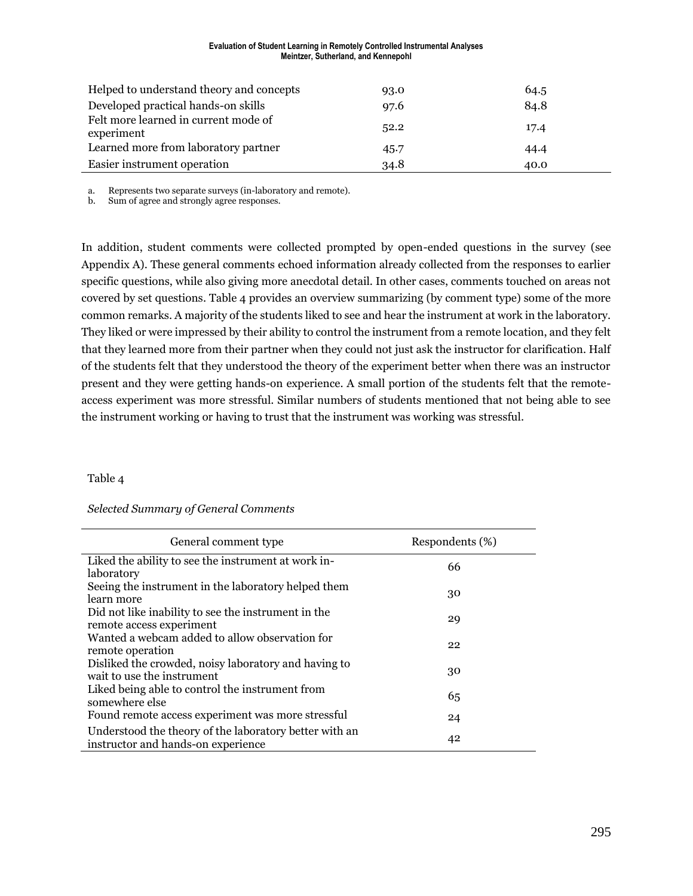#### **Evaluation of Student Learning in Remotely Controlled Instrumental Analyses Meintzer, Sutherland, and Kennepohl**

| Helped to understand theory and concepts           | 93.0 | 64.5 |
|----------------------------------------------------|------|------|
| Developed practical hands-on skills                | 97.6 | 84.8 |
| Felt more learned in current mode of<br>experiment | 52.2 | 17.4 |
| Learned more from laboratory partner               | 45.7 | 44.4 |
| Easier instrument operation                        | 34.8 | 40.0 |

a. Represents two separate surveys (in-laboratory and remote).

b. Sum of agree and strongly agree responses.

In addition, student comments were collected prompted by open-ended questions in the survey (see Appendix A). These general comments echoed information already collected from the responses to earlier specific questions, while also giving more anecdotal detail. In other cases, comments touched on areas not covered by set questions. Table 4 provides an overview summarizing (by comment type) some of the more common remarks. A majority of the students liked to see and hear the instrument at work in the laboratory. They liked or were impressed by their ability to control the instrument from a remote location, and they felt that they learned more from their partner when they could not just ask the instructor for clarification. Half of the students felt that they understood the theory of the experiment better when there was an instructor present and they were getting hands-on experience. A small portion of the students felt that the remoteaccess experiment was more stressful. Similar numbers of students mentioned that not being able to see the instrument working or having to trust that the instrument was working was stressful.

#### Table 4

#### *Selected Summary of General Comments*

| General comment type                                                                         | Respondents (%) |
|----------------------------------------------------------------------------------------------|-----------------|
| Liked the ability to see the instrument at work in-<br>laboratory                            | 66              |
| Seeing the instrument in the laboratory helped them<br>learn more                            | 30              |
| Did not like inability to see the instrument in the<br>remote access experiment              | 29              |
| Wanted a webcam added to allow observation for<br>remote operation                           | 22              |
| Disliked the crowded, noisy laboratory and having to<br>wait to use the instrument           | 30              |
| Liked being able to control the instrument from<br>somewhere else                            | 65              |
| Found remote access experiment was more stressful                                            | 24              |
| Understood the theory of the laboratory better with an<br>instructor and hands-on experience | 42              |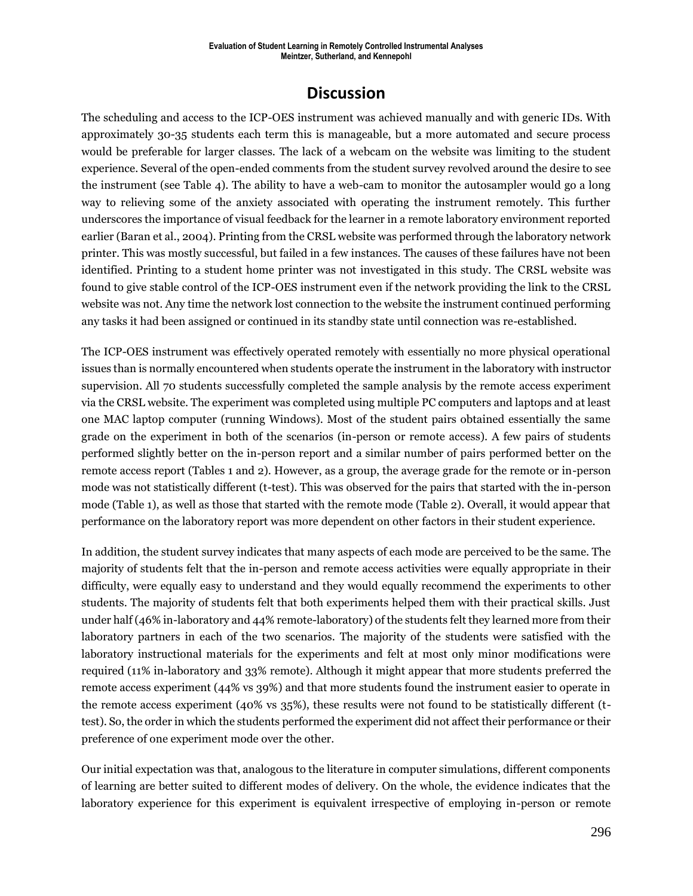# **Discussion**

The scheduling and access to the ICP-OES instrument was achieved manually and with generic IDs. With approximately 30-35 students each term this is manageable, but a more automated and secure process would be preferable for larger classes. The lack of a webcam on the website was limiting to the student experience. Several of the open-ended comments from the student survey revolved around the desire to see the instrument (see Table 4). The ability to have a web-cam to monitor the autosampler would go a long way to relieving some of the anxiety associated with operating the instrument remotely. This further underscores the importance of visual feedback for the learner in a remote laboratory environment reported earlier (Baran et al., 2004). Printing from the CRSL website was performed through the laboratory network printer. This was mostly successful, but failed in a few instances. The causes of these failures have not been identified. Printing to a student home printer was not investigated in this study. The CRSL website was found to give stable control of the ICP-OES instrument even if the network providing the link to the CRSL website was not. Any time the network lost connection to the website the instrument continued performing any tasks it had been assigned or continued in its standby state until connection was re-established.

The ICP-OES instrument was effectively operated remotely with essentially no more physical operational issues than is normally encountered when students operate the instrument in the laboratory with instructor supervision. All 70 students successfully completed the sample analysis by the remote access experiment via the CRSL website. The experiment was completed using multiple PC computers and laptops and at least one MAC laptop computer (running Windows). Most of the student pairs obtained essentially the same grade on the experiment in both of the scenarios (in-person or remote access). A few pairs of students performed slightly better on the in-person report and a similar number of pairs performed better on the remote access report (Tables 1 and 2). However, as a group, the average grade for the remote or in-person mode was not statistically different (t-test). This was observed for the pairs that started with the in-person mode (Table 1), as well as those that started with the remote mode (Table 2). Overall, it would appear that performance on the laboratory report was more dependent on other factors in their student experience.

In addition, the student survey indicates that many aspects of each mode are perceived to be the same. The majority of students felt that the in-person and remote access activities were equally appropriate in their difficulty, were equally easy to understand and they would equally recommend the experiments to other students. The majority of students felt that both experiments helped them with their practical skills. Just under half (46% in-laboratory and 44% remote-laboratory) of the students felt they learned more from their laboratory partners in each of the two scenarios. The majority of the students were satisfied with the laboratory instructional materials for the experiments and felt at most only minor modifications were required (11% in-laboratory and 33% remote). Although it might appear that more students preferred the remote access experiment (44% vs 39%) and that more students found the instrument easier to operate in the remote access experiment (40% vs 35%), these results were not found to be statistically different (ttest). So, the order in which the students performed the experiment did not affect their performance or their preference of one experiment mode over the other.

Our initial expectation was that, analogous to the literature in computer simulations, different components of learning are better suited to different modes of delivery. On the whole, the evidence indicates that the laboratory experience for this experiment is equivalent irrespective of employing in-person or remote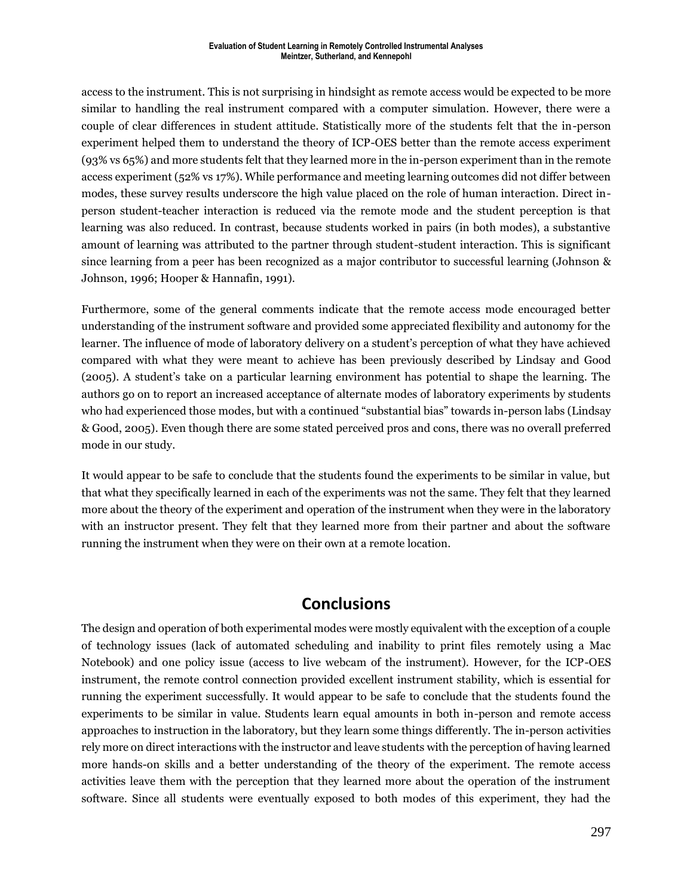access to the instrument. This is not surprising in hindsight as remote access would be expected to be more similar to handling the real instrument compared with a computer simulation. However, there were a couple of clear differences in student attitude. Statistically more of the students felt that the in-person experiment helped them to understand the theory of ICP-OES better than the remote access experiment (93% vs 65%) and more students felt that they learned more in the in-person experiment than in the remote access experiment (52% vs 17%). While performance and meeting learning outcomes did not differ between modes, these survey results underscore the high value placed on the role of human interaction. Direct inperson student-teacher interaction is reduced via the remote mode and the student perception is that learning was also reduced. In contrast, because students worked in pairs (in both modes), a substantive amount of learning was attributed to the partner through student-student interaction. This is significant since learning from a peer has been recognized as a major contributor to successful learning (Johnson & Johnson, 1996; Hooper & Hannafin, 1991).

Furthermore, some of the general comments indicate that the remote access mode encouraged better understanding of the instrument software and provided some appreciated flexibility and autonomy for the learner. The influence of mode of laboratory delivery on a student's perception of what they have achieved compared with what they were meant to achieve has been previously described by Lindsay and Good (2005). A student's take on a particular learning environment has potential to shape the learning. The authors go on to report an increased acceptance of alternate modes of laboratory experiments by students who had experienced those modes, but with a continued "substantial bias" towards in-person labs (Lindsay & Good, 2005). Even though there are some stated perceived pros and cons, there was no overall preferred mode in our study.

It would appear to be safe to conclude that the students found the experiments to be similar in value, but that what they specifically learned in each of the experiments was not the same. They felt that they learned more about the theory of the experiment and operation of the instrument when they were in the laboratory with an instructor present. They felt that they learned more from their partner and about the software running the instrument when they were on their own at a remote location.

# **Conclusions**

The design and operation of both experimental modes were mostly equivalent with the exception of a couple of technology issues (lack of automated scheduling and inability to print files remotely using a Mac Notebook) and one policy issue (access to live webcam of the instrument). However, for the ICP-OES instrument, the remote control connection provided excellent instrument stability, which is essential for running the experiment successfully. It would appear to be safe to conclude that the students found the experiments to be similar in value. Students learn equal amounts in both in-person and remote access approaches to instruction in the laboratory, but they learn some things differently. The in-person activities rely more on direct interactions with the instructor and leave students with the perception of having learned more hands-on skills and a better understanding of the theory of the experiment. The remote access activities leave them with the perception that they learned more about the operation of the instrument software. Since all students were eventually exposed to both modes of this experiment, they had the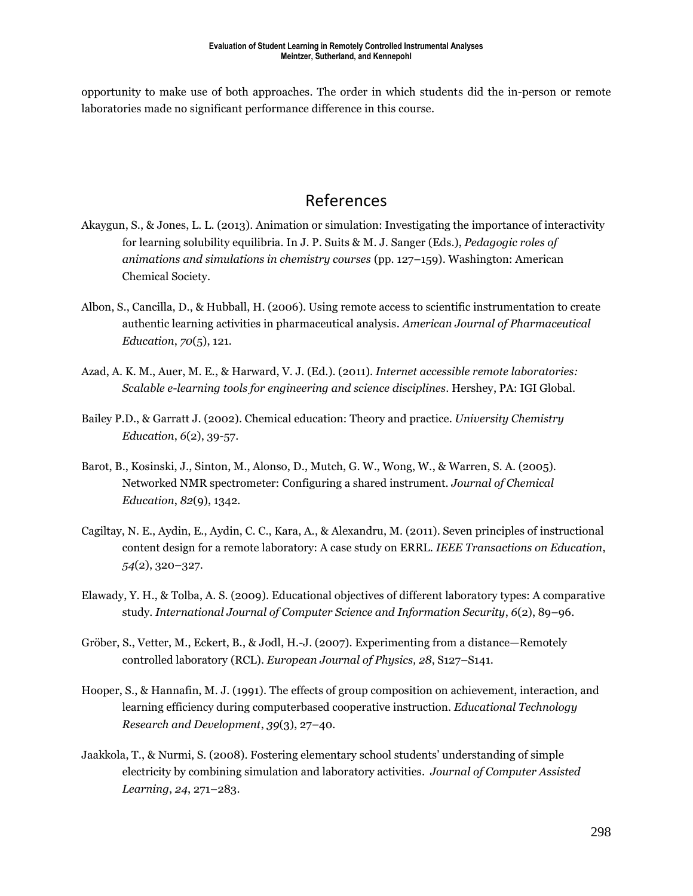opportunity to make use of both approaches. The order in which students did the in-person or remote laboratories made no significant performance difference in this course.

# References

- Akaygun, S., & Jones, L. L. (2013). Animation or simulation: Investigating the importance of interactivity for learning solubility equilibria. In J. P. Suits & M. J. Sanger (Eds.), *Pedagogic roles of animations and simulations in chemistry courses* (pp. 127–159). Washington: American Chemical Society.
- Albon, S., Cancilla, D., & Hubball, H. (2006). Using remote access to scientific instrumentation to create authentic learning activities in pharmaceutical analysis. *American Journal of Pharmaceutical Education*, *70*(5), 121.
- Azad, A. K. M., Auer, M. E., & Harward, V. J. (Ed.). (2011). *Internet accessible remote laboratories: Scalable e-learning tools for engineering and science disciplines*. Hershey, PA: IGI Global.
- Bailey P.D., & Garratt J. (2002). Chemical education: Theory and practice. *University Chemistry Education*, *6*(2), 39-57.
- Barot, B., Kosinski, J., Sinton, M., Alonso, D., Mutch, G. W., Wong, W., & Warren, S. A. (2005). Networked NMR spectrometer: Configuring a shared instrument. *Journal of Chemical Education*, *82*(9), 1342.
- Cagiltay, N. E., Aydin, E., Aydin, C. C., Kara, A., & Alexandru, M. (2011). Seven principles of instructional content design for a remote laboratory: A case study on ERRL. *IEEE Transactions on Education*, *54*(2), 320–327.
- Elawady, Y. H., & Tolba, A. S. (2009). Educational objectives of different laboratory types: A comparative study. *International Journal of Computer Science and Information Security*, *6*(2), 89–96.
- Gröber, S., Vetter, M., Eckert, B., & Jodl, H.-J. (2007). Experimenting from a distance—Remotely controlled laboratory (RCL). *European Journal of Physics, 28*, S127–S141.
- Hooper, S., & Hannafin, M. J. (1991). The effects of group composition on achievement, interaction, and learning efficiency during computerbased cooperative instruction. *Educational Technology Research and Development*, *39*(3), 27–40.
- Jaakkola, T., & Nurmi, S. (2008). Fostering elementary school students' understanding of simple electricity by combining simulation and laboratory activities. *Journal of Computer Assisted Learning*, *24*, 271–283.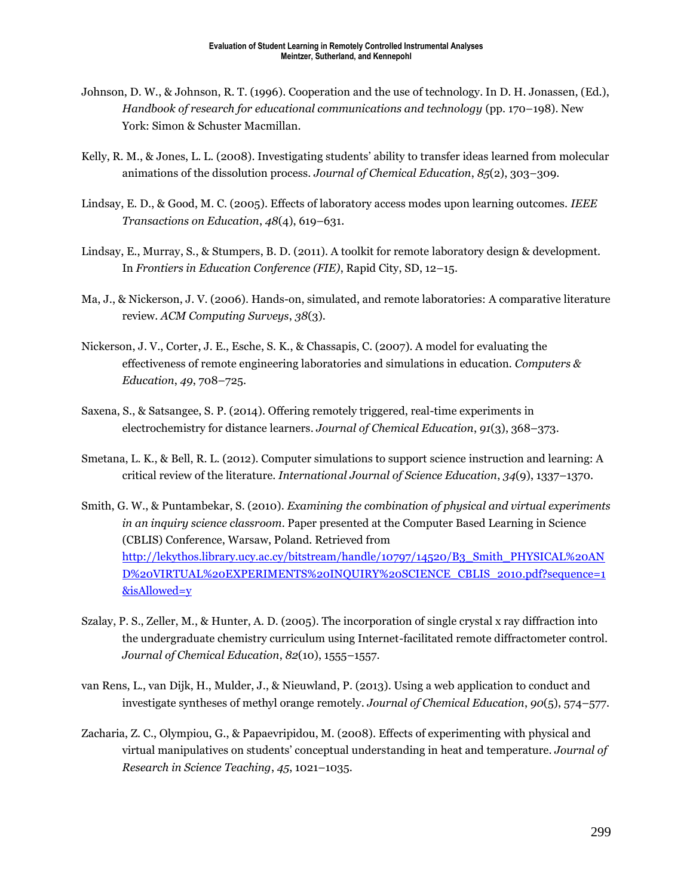- Johnson, D. W., & Johnson, R. T. (1996). Cooperation and the use of technology. In D. H. Jonassen, (Ed.), *Handbook of research for educational communications and technology* (pp. 170–198). New York: Simon & Schuster Macmillan.
- Kelly, R. M., & Jones, L. L. (2008). Investigating students' ability to transfer ideas learned from molecular animations of the dissolution process. *Journal of Chemical Education*, *85*(2), 303–309.
- Lindsay, E. D., & Good, M. C. (2005). Effects of laboratory access modes upon learning outcomes. *IEEE Transactions on Education*, *48*(4), 619–631.
- Lindsay, E., Murray, S., & Stumpers, B. D. (2011). A toolkit for remote laboratory design & development. In *Frontiers in Education Conference (FIE)*, Rapid City, SD, 12–15.
- Ma, J., & Nickerson, J. V. (2006). Hands-on, simulated, and remote laboratories: A comparative literature review. *ACM Computing Surveys*, *38*(3).
- Nickerson, J. V., Corter, J. E., Esche, S. K., & Chassapis, C. (2007). A model for evaluating the effectiveness of remote engineering laboratories and simulations in education. *Computers & Education*, *49*, 708–725.
- Saxena, S., & Satsangee, S. P. (2014). Offering remotely triggered, real-time experiments in electrochemistry for distance learners. *Journal of Chemical Education*, *91*(3), 368–373.
- Smetana, L. K., & Bell, R. L. (2012). Computer simulations to support science instruction and learning: A critical review of the literature. *International Journal of Science Education*, *34*(9), 1337–1370.
- Smith, G. W., & Puntambekar, S. (2010). *Examining the combination of physical and virtual experiments in an inquiry science classroom*. Paper presented at the Computer Based Learning in Science (CBLIS) Conference, Warsaw, Poland. Retrieved from [http://lekythos.library.ucy.ac.cy/bitstream/handle/10797/14520/B3\\_Smith\\_PHYSICAL%20AN](http://lekythos.library.ucy.ac.cy/bitstream/handle/10797/14520/B3_Smith_PHYSICAL%20AND%20VIRTUAL%20EXPERIMENTS%20INQUIRY%20SCIENCE_CBLIS_2010.pdf?sequence=1&isAllowed=y) [D%20VIRTUAL%20EXPERIMENTS%20INQUIRY%20SCIENCE\\_CBLIS\\_2010.pdf?sequence=1](http://lekythos.library.ucy.ac.cy/bitstream/handle/10797/14520/B3_Smith_PHYSICAL%20AND%20VIRTUAL%20EXPERIMENTS%20INQUIRY%20SCIENCE_CBLIS_2010.pdf?sequence=1&isAllowed=y) [&isAllowed=y](http://lekythos.library.ucy.ac.cy/bitstream/handle/10797/14520/B3_Smith_PHYSICAL%20AND%20VIRTUAL%20EXPERIMENTS%20INQUIRY%20SCIENCE_CBLIS_2010.pdf?sequence=1&isAllowed=y)
- Szalay, P. S., Zeller, M., & Hunter, A. D. (2005). The incorporation of single crystal x ray diffraction into the undergraduate chemistry curriculum using Internet-facilitated remote diffractometer control. *Journal of Chemical Education*, *82*(10), 1555–1557.
- van Rens, L., van Dijk, H., Mulder, J., & Nieuwland, P. (2013). Using a web application to conduct and investigate syntheses of methyl orange remotely. *Journal of Chemical Education*, *90*(5), 574–577.
- Zacharia, Z. C., Olympiou, G., & Papaevripidou, M. (2008). Effects of experimenting with physical and virtual manipulatives on students' conceptual understanding in heat and temperature. *Journal of Research in Science Teaching*, *45*, 1021–1035.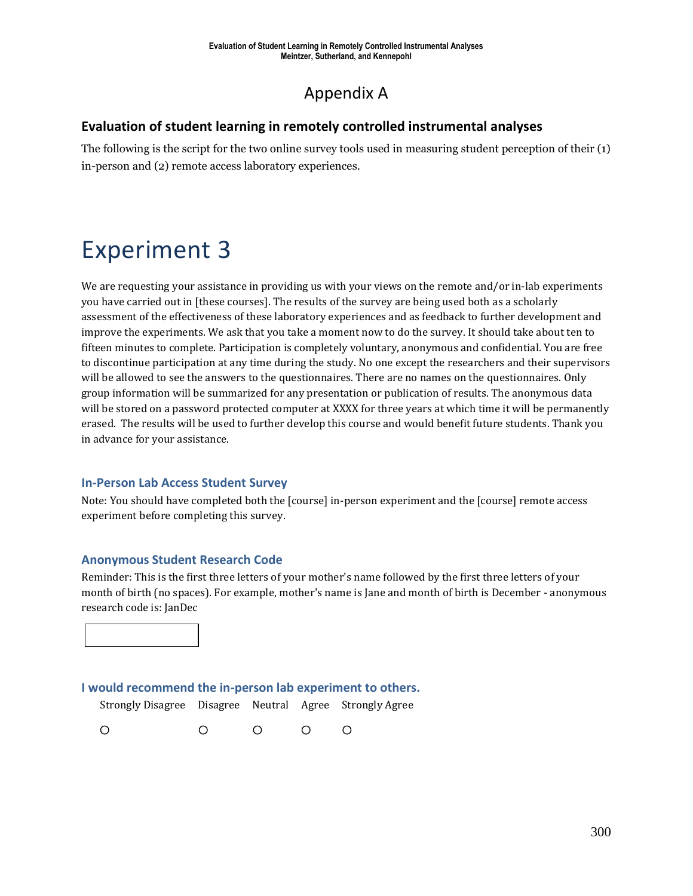# Appendix A

## **Evaluation of student learning in remotely controlled instrumental analyses**

The following is the script for the two online survey tools used in measuring student perception of their (1) in-person and (2) remote access laboratory experiences.

# Experiment 3

We are requesting your assistance in providing us with your views on the remote and/or in-lab experiments you have carried out in [these courses]. The results of the survey are being used both as a scholarly assessment of the effectiveness of these laboratory experiences and as feedback to further development and improve the experiments. We ask that you take a moment now to do the survey. It should take about ten to fifteen minutes to complete. Participation is completely voluntary, anonymous and confidential. You are free to discontinue participation at any time during the study. No one except the researchers and their supervisors will be allowed to see the answers to the questionnaires. There are no names on the questionnaires. Only group information will be summarized for any presentation or publication of results. The anonymous data will be stored on a password protected computer at XXXX for three years at which time it will be permanently erased. The results will be used to further develop this course and would benefit future students. Thank you in advance for your assistance.

### **In-Person Lab Access Student Survey**

Note: You should have completed both the [course] in-person experiment and the [course] remote access experiment before completing this survey.

### **Anonymous Student Research Code**

Reminder: This is the first three letters of your mother's name followed by the first three letters of your month of birth (no spaces). For example, mother's name is Jane and month of birth is December - anonymous research code is: JanDec



## **I would recommend the in-person lab experiment to others.**

Strongly Disagree Disagree Neutral Agree Strongly Agree

 $\circ$  $\circ$  $\circ$  $\circ$  $\circ$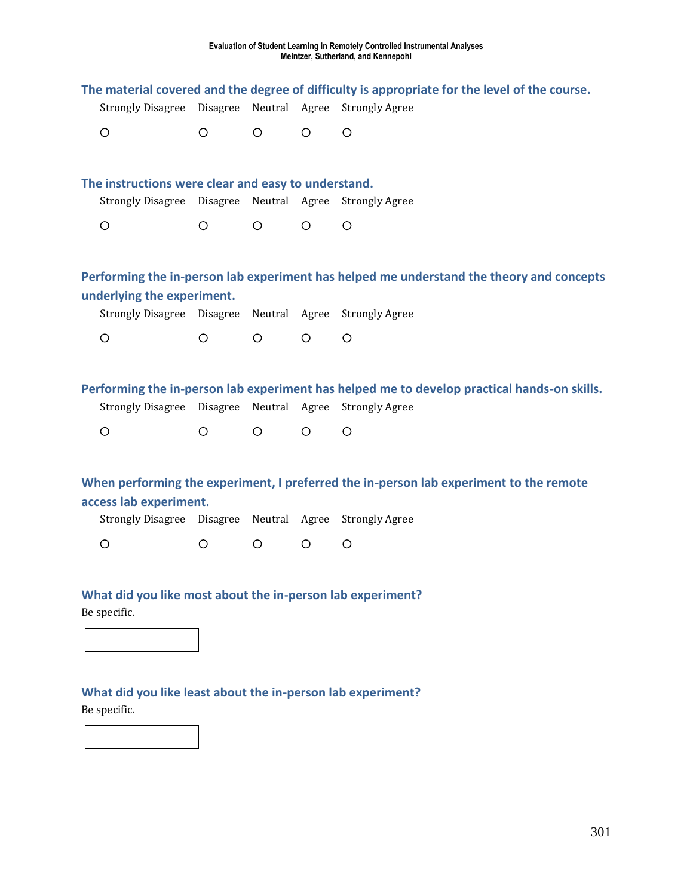|                                                     |         |         |         | The material covered and the degree of difficulty is appropriate for the level of the course.                               |
|-----------------------------------------------------|---------|---------|---------|-----------------------------------------------------------------------------------------------------------------------------|
| <b>Strongly Disagree</b>                            |         |         |         | Disagree Neutral Agree Strongly Agree                                                                                       |
| $\circ$                                             | $\circ$ | $\circ$ | $\circ$ | $\circ$                                                                                                                     |
| The instructions were clear and easy to understand. |         |         |         |                                                                                                                             |
|                                                     |         |         |         | Strongly Disagree Disagree Neutral Agree Strongly Agree                                                                     |
| $\circ$                                             | O       | $\circ$ | $\circ$ | $\circ$                                                                                                                     |
|                                                     |         |         |         | Performing the in-person lab experiment has helped me understand the theory and concepts                                    |
| underlying the experiment.                          |         |         |         |                                                                                                                             |
| <b>Strongly Disagree</b>                            |         |         |         | Disagree Neutral Agree Strongly Agree                                                                                       |
| $\circ$                                             | $\circ$ | $\circ$ | $\circ$ | $\circ$                                                                                                                     |
|                                                     |         |         |         |                                                                                                                             |
| Strongly Disagree Disagree                          |         |         |         | Performing the in-person lab experiment has helped me to develop practical hands-on skills.<br>Neutral Agree Strongly Agree |
| $\circ$                                             | $\circ$ | $\circ$ | $\circ$ | $\circ$                                                                                                                     |
|                                                     |         |         |         |                                                                                                                             |
| access lab experiment.                              |         |         |         | When performing the experiment, I preferred the in-person lab experiment to the remote                                      |
|                                                     |         |         |         | Strongly Disagree Disagree Neutral Agree Strongly Agree                                                                     |
| $\circ$                                             | O       | $\circ$ | $\circ$ | $\circ$                                                                                                                     |
|                                                     |         |         |         |                                                                                                                             |
| Be specific.                                        |         |         |         | What did you like most about the in-person lab experiment?                                                                  |
|                                                     |         |         |         |                                                                                                                             |
| Be specific.                                        |         |         |         | What did you like least about the in-person lab experiment?                                                                 |

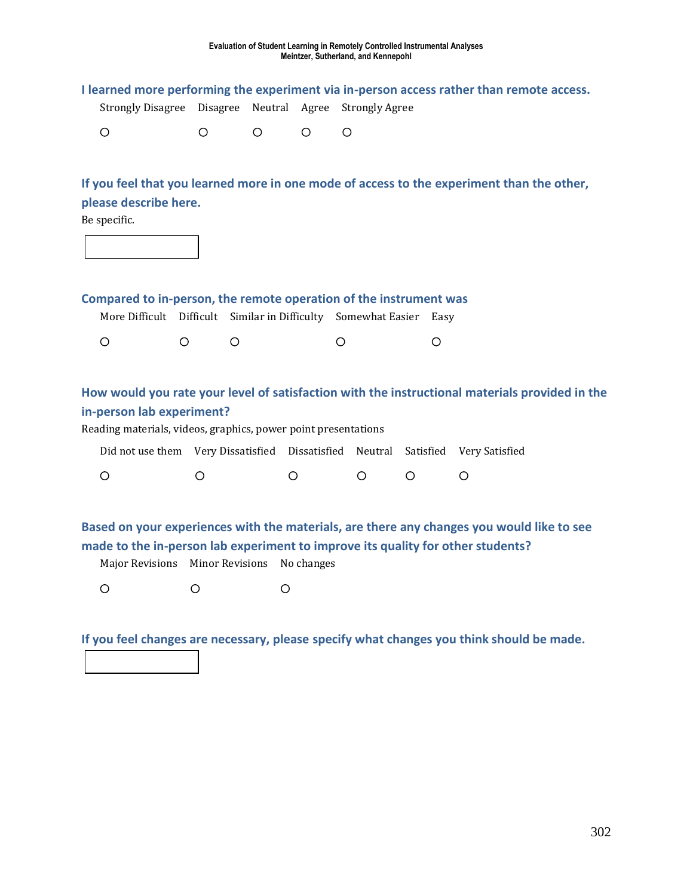| <b>Strongly Disagree</b>                                                                                       | Disagree                          |                       |            | Neutral Agree Strongly Agree |           | I learned more performing the experiment via in-person access rather than remote access.       |
|----------------------------------------------------------------------------------------------------------------|-----------------------------------|-----------------------|------------|------------------------------|-----------|------------------------------------------------------------------------------------------------|
| $\circ$                                                                                                        | O                                 | O                     | $\circ$    | O                            |           |                                                                                                |
| please describe here.<br>Be specific.                                                                          |                                   |                       |            |                              |           | If you feel that you learned more in one mode of access to the experiment than the other,      |
| Compared to in-person, the remote operation of the instrument was<br>More Difficult Difficult                  |                                   | Similar in Difficulty |            | Somewhat Easier              | Easy      |                                                                                                |
| $\circ$<br>$\circ$                                                                                             | $\circ$                           |                       |            | $\circ$                      | $\circ$   |                                                                                                |
| in-person lab experiment?<br>Reading materials, videos, graphics, power point presentations                    |                                   |                       |            |                              |           | How would you rate your level of satisfaction with the instructional materials provided in the |
| Did not use them Very Dissatisfied Dissatisfied Neutral                                                        |                                   |                       |            |                              | Satisfied | Very Satisfied                                                                                 |
| $\circ$                                                                                                        | $\circ$                           | $\circ$               |            | $\circ$                      | $\circ$   | $\circ$                                                                                        |
| made to the in-person lab experiment to improve its quality for other students?<br><b>Major Revisions</b><br>O | <b>Minor Revisions</b><br>$\circ$ | $\circ$               | No changes |                              |           | Based on your experiences with the materials, are there any changes you would like to see      |

**If you feel changes are necessary, please specify what changes you think should be made.**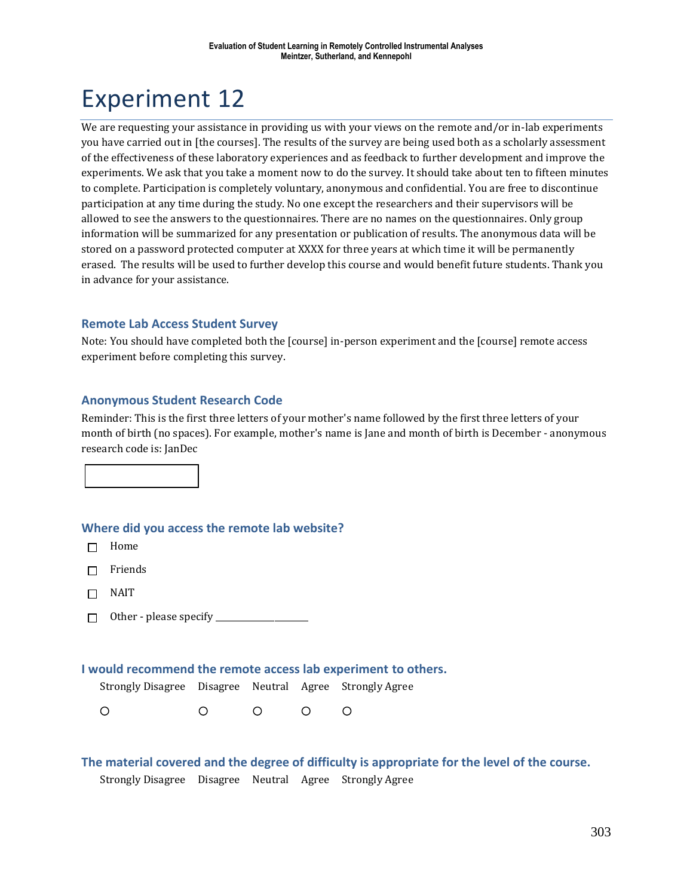# Experiment 12

We are requesting your assistance in providing us with your views on the remote and/or in-lab experiments you have carried out in [the courses]. The results of the survey are being used both as a scholarly assessment of the effectiveness of these laboratory experiences and as feedback to further development and improve the experiments. We ask that you take a moment now to do the survey. It should take about ten to fifteen minutes to complete. Participation is completely voluntary, anonymous and confidential. You are free to discontinue participation at any time during the study. No one except the researchers and their supervisors will be allowed to see the answers to the questionnaires. There are no names on the questionnaires. Only group information will be summarized for any presentation or publication of results. The anonymous data will be stored on a password protected computer at XXXX for three years at which time it will be permanently erased. The results will be used to further develop this course and would benefit future students. Thank you in advance for your assistance.

### **Remote Lab Access Student Survey**

Note: You should have completed both the [course] in-person experiment and the [course] remote access experiment before completing this survey.

#### **Anonymous Student Research Code**

Reminder: This is the first three letters of your mother's name followed by the first three letters of your month of birth (no spaces). For example, mother's name is Jane and month of birth is December - anonymous research code is: JanDec



- $\Box$  Home
- $\Box$  Friends
- $\Box$  NAIT
- Other please specify \_\_\_\_\_\_\_\_\_\_\_\_\_\_\_\_\_\_\_\_\_\_

#### **I would recommend the remote access lab experiment to others.**

Strongly Disagree Disagree Neutral Agree Strongly Agree

 $\circ$  $\circ$  $\circ$  $\bigcirc$  $\circ$ 

**The material covered and the degree of difficulty is appropriate for the level of the course.** Strongly Disagree Disagree Neutral Agree Strongly Agree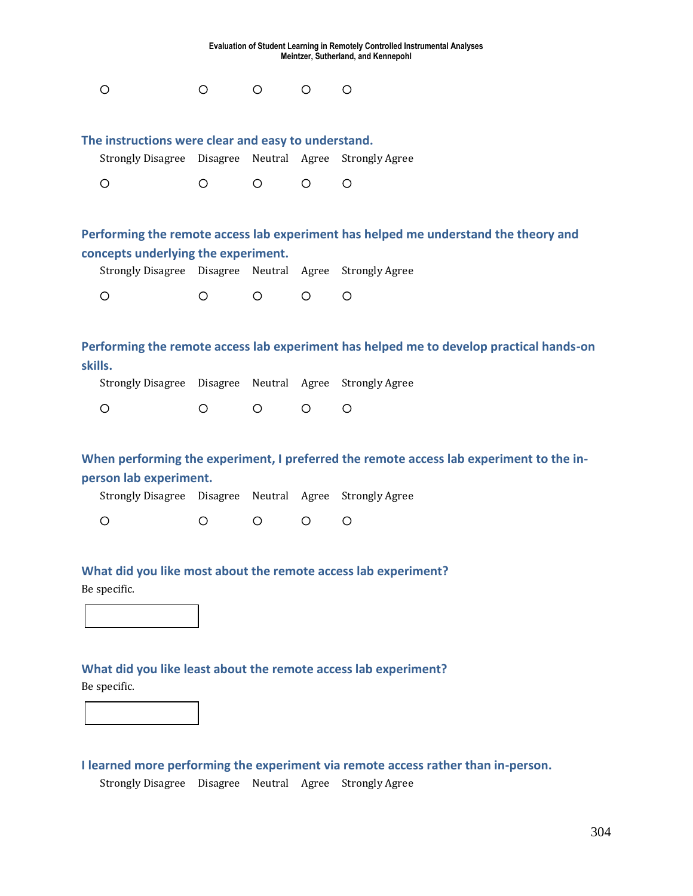| Evaluation of Student Learning in Remotely Controlled Instrumental Analyses<br>Meintzer, Sutherland, and Kennepohl |                        |            |         |                                                                                         |  |  |  |  |
|--------------------------------------------------------------------------------------------------------------------|------------------------|------------|---------|-----------------------------------------------------------------------------------------|--|--|--|--|
| $\bigcirc$                                                                                                         | $\bigcirc$             | $\bigcirc$ | $\circ$ | $\bigcirc$                                                                              |  |  |  |  |
| The instructions were clear and easy to understand.                                                                |                        |            |         |                                                                                         |  |  |  |  |
| Strongly Disagree Disagree Neutral Agree                                                                           |                        |            |         | <b>Strongly Agree</b>                                                                   |  |  |  |  |
| $\circ$                                                                                                            | $\circ$                | $\bigcirc$ | $\circ$ | $\circ$                                                                                 |  |  |  |  |
|                                                                                                                    |                        |            |         |                                                                                         |  |  |  |  |
|                                                                                                                    |                        |            |         | Performing the remote access lab experiment has helped me understand the theory and     |  |  |  |  |
| concepts underlying the experiment.                                                                                |                        |            |         |                                                                                         |  |  |  |  |
| Strongly Disagree Disagree Neutral Agree                                                                           |                        |            |         | <b>Strongly Agree</b>                                                                   |  |  |  |  |
| $\circ$                                                                                                            | $\circ$                | $\circ$    | $\circ$ | O                                                                                       |  |  |  |  |
|                                                                                                                    |                        |            |         |                                                                                         |  |  |  |  |
| skills.                                                                                                            |                        |            |         | Performing the remote access lab experiment has helped me to develop practical hands-on |  |  |  |  |
| <b>Strongly Disagree</b>                                                                                           | Disagree Neutral Agree |            |         | <b>Strongly Agree</b>                                                                   |  |  |  |  |
| $\circ$                                                                                                            | $\bigcirc$             | $\circ$    | $\circ$ | O                                                                                       |  |  |  |  |
|                                                                                                                    |                        |            |         |                                                                                         |  |  |  |  |
|                                                                                                                    |                        |            |         | When performing the experiment, I preferred the remote access lab experiment to the in- |  |  |  |  |
| person lab experiment.                                                                                             |                        |            |         |                                                                                         |  |  |  |  |
| Strongly Disagree Disagree Neutral Agree                                                                           |                        |            |         | <b>Strongly Agree</b>                                                                   |  |  |  |  |
| O                                                                                                                  | O                      | $\circ$    | $\circ$ | O                                                                                       |  |  |  |  |
|                                                                                                                    |                        |            |         |                                                                                         |  |  |  |  |

**What did you like most about the remote access lab experiment?** Be specific.



## **What did you like least about the remote access lab experiment?**

Be specific.

**I learned more performing the experiment via remote access rather than in-person.** 

Strongly Disagree Disagree Neutral Agree Strongly Agree